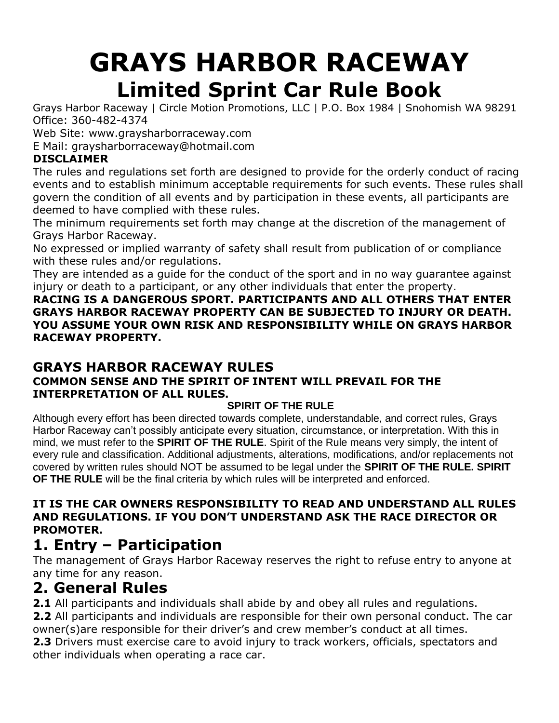# **GRAYS HARBOR RACEWAY Limited Sprint Car Rule Book**

Grays Harbor Raceway | Circle Motion Promotions, LLC | P.O. Box 1984 | Snohomish WA 98291 Office: 360-482-4374

Web Site: [www.graysharborraceway.com](http://www.graysharborraceway.com/)

E Mail: [graysharborraceway@hotmail.com](mailto:graysharborraceway@hotmail.com)

#### **DISCLAIMER**

The rules and regulations set forth are designed to provide for the orderly conduct of racing events and to establish minimum acceptable requirements for such events. These rules shall govern the condition of all events and by participation in these events, all participants are deemed to have complied with these rules.

The minimum requirements set forth may change at the discretion of the management of Grays Harbor Raceway.

No expressed or implied warranty of safety shall result from publication of or compliance with these rules and/or regulations.

They are intended as a guide for the conduct of the sport and in no way guarantee against injury or death to a participant, or any other individuals that enter the property.

**RACING IS A DANGEROUS SPORT. PARTICIPANTS AND ALL OTHERS THAT ENTER GRAYS HARBOR RACEWAY PROPERTY CAN BE SUBJECTED TO INJURY OR DEATH. YOU ASSUME YOUR OWN RISK AND RESPONSIBILITY WHILE ON GRAYS HARBOR RACEWAY PROPERTY.**

### **GRAYS HARBOR RACEWAY RULES COMMON SENSE AND THE SPIRIT OF INTENT WILL PREVAIL FOR THE INTERPRETATION OF ALL RULES.**

### **SPIRIT OF THE RULE**

Although every effort has been directed towards complete, understandable, and correct rules, Grays Harbor Raceway can't possibly anticipate every situation, circumstance, or interpretation. With this in mind, we must refer to the **SPIRIT OF THE RULE**. Spirit of the Rule means very simply, the intent of every rule and classification. Additional adjustments, alterations, modifications, and/or replacements not covered by written rules should NOT be assumed to be legal under the **SPIRIT OF THE RULE. SPIRIT OF THE RULE** will be the final criteria by which rules will be interpreted and enforced.

#### **IT IS THE CAR OWNERS RESPONSIBILITY TO READ AND UNDERSTAND ALL RULES AND REGULATIONS. IF YOU DON'T UNDERSTAND ASK THE RACE DIRECTOR OR PROMOTER.**

## **1. Entry – Participation**

The management of Grays Harbor Raceway reserves the right to refuse entry to anyone at any time for any reason.

### **2. General Rules**

**2.1** All participants and individuals shall abide by and obey all rules and regulations. **2.2** All participants and individuals are responsible for their own personal conduct. The car owner(s)are responsible for their driver's and crew member's conduct at all times. **2.3** Drivers must exercise care to avoid injury to track workers, officials, spectators and other individuals when operating a race car.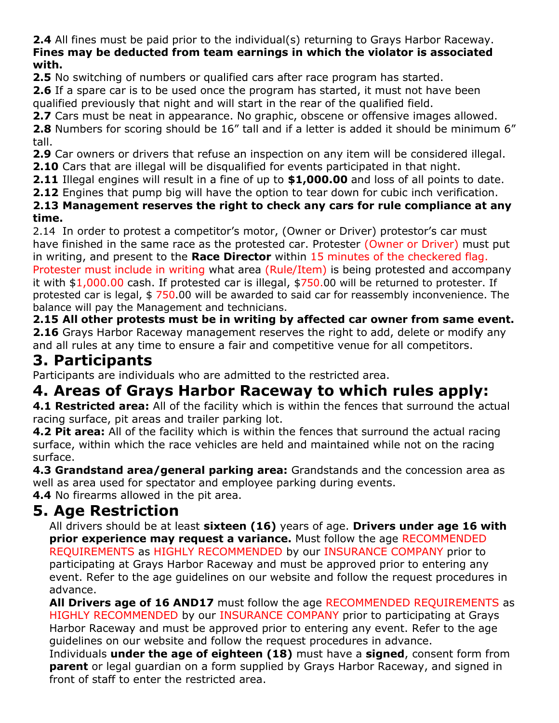**2.4** All fines must be paid prior to the individual(s) returning to Grays Harbor Raceway. **Fines may be deducted from team earnings in which the violator is associated with.**

**2.5** No switching of numbers or qualified cars after race program has started.

**2.6** If a spare car is to be used once the program has started, it must not have been qualified previously that night and will start in the rear of the qualified field.

**2.7** Cars must be neat in appearance. No graphic, obscene or offensive images allowed.

**2.8** Numbers for scoring should be 16" tall and if a letter is added it should be minimum 6" tall.

**2.9** Car owners or drivers that refuse an inspection on any item will be considered illegal.

**2.10** Cars that are illegal will be disqualified for events participated in that night.

**2.11** Illegal engines will result in a fine of up to **\$1,000.00** and loss of all points to date.

**2.12** Engines that pump big will have the option to tear down for cubic inch verification.

**2.13 Management reserves the right to check any cars for rule compliance at any time.**

2.14 In order to protest a competitor's motor, (Owner or Driver) protestor's car must have finished in the same race as the protested car. Protester (Owner or Driver) must put in writing, and present to the **Race Director** within 15 minutes of the checkered flag. Protester must include in writing what area (Rule/Item) is being protested and accompany

it with \$1,000.00 cash. If protested car is illegal, \$750.00 will be returned to protester. If protested car is legal, \$ 750.00 will be awarded to said car for reassembly inconvenience. The balance will pay the Management and technicians.

**2.15 All other protests must be in writing by affected car owner from same event. 2.16** Grays Harbor Raceway management reserves the right to add, delete or modify any and all rules at any time to ensure a fair and competitive venue for all competitors.

### **3. Participants**

Participants are individuals who are admitted to the restricted area.

## **4. Areas of Grays Harbor Raceway to which rules apply:**

**4.1 Restricted area:** All of the facility which is within the fences that surround the actual racing surface, pit areas and trailer parking lot.

**4.2 Pit area:** All of the facility which is within the fences that surround the actual racing surface, within which the race vehicles are held and maintained while not on the racing surface.

**4.3 Grandstand area/general parking area:** Grandstands and the concession area as well as area used for spectator and employee parking during events.

**4.4** No firearms allowed in the pit area.

### **5. Age Restriction**

All drivers should be at least **sixteen (16)** years of age. **Drivers under age 16 with prior experience may request a variance.** Must follow the age RECOMMENDED REQUIREMENTS as HIGHLY RECOMMENDED by our INSURANCE COMPANY prior to participating at Grays Harbor Raceway and must be approved prior to entering any event. Refer to the age guidelines on our website and follow the request procedures in advance.

**All Drivers age of 16 AND17** must follow the age RECOMMENDED REQUIREMENTS as HIGHLY RECOMMENDED by our INSURANCE COMPANY prior to participating at Grays Harbor Raceway and must be approved prior to entering any event. Refer to the age guidelines on our website and follow the request procedures in advance.

Individuals **under the age of eighteen (18)** must have a **signed**, consent form from **parent** or legal guardian on a form supplied by Grays Harbor Raceway, and signed in front of staff to enter the restricted area.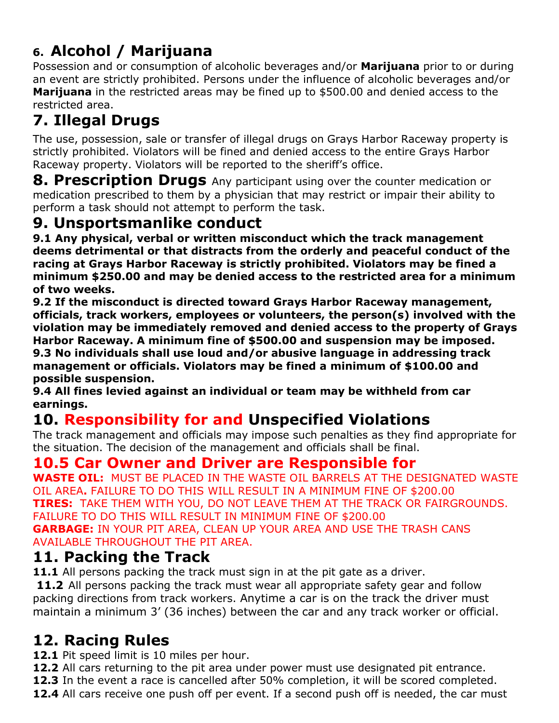# **6. Alcohol / Marijuana**

Possession and or consumption of alcoholic beverages and/or **Marijuana** prior to or during an event are strictly prohibited. Persons under the influence of alcoholic beverages and/or **Marijuana** in the restricted areas may be fined up to \$500.00 and denied access to the restricted area.

# **7. Illegal Drugs**

The use, possession, sale or transfer of illegal drugs on Grays Harbor Raceway property is strictly prohibited. Violators will be fined and denied access to the entire Grays Harbor Raceway property. Violators will be reported to the sheriff's office.

**8. Prescription Drugs** Any participant using over the counter medication or medication prescribed to them by a physician that may restrict or impair their ability to perform a task should not attempt to perform the task.

### **9. Unsportsmanlike conduct**

**9.1 Any physical, verbal or written misconduct which the track management deems detrimental or that distracts from the orderly and peaceful conduct of the racing at Grays Harbor Raceway is strictly prohibited. Violators may be fined a minimum \$250.00 and may be denied access to the restricted area for a minimum of two weeks.**

**9.2 If the misconduct is directed toward Grays Harbor Raceway management, officials, track workers, employees or volunteers, the person(s) involved with the violation may be immediately removed and denied access to the property of Grays Harbor Raceway. A minimum fine of \$500.00 and suspension may be imposed. 9.3 No individuals shall use loud and/or abusive language in addressing track management or officials. Violators may be fined a minimum of \$100.00 and possible suspension.**

**9.4 All fines levied against an individual or team may be withheld from car earnings.**

# **10. Responsibility for and Unspecified Violations**

The track management and officials may impose such penalties as they find appropriate for the situation. The decision of the management and officials shall be final.

### **10.5 Car Owner and Driver are Responsible for**

**WASTE OIL:** MUST BE PLACED IN THE WASTE OIL BARRELS AT THE DESIGNATED WASTE OIL AREA**.** FAILURE TO DO THIS WILL RESULT IN A MINIMUM FINE OF \$200.00 **TIRES:** TAKE THEM WITH YOU, DO NOT LEAVE THEM AT THE TRACK OR FAIRGROUNDS. FAILURE TO DO THIS WILL RESULT IN MINIMUM FINE OF \$200.00 **GARBAGE:** IN YOUR PIT AREA, CLEAN UP YOUR AREA AND USE THE TRASH CANS AVAILABLE THROUGHOUT THE PIT AREA.

### **11. Packing the Track**

**11.1** All persons packing the track must sign in at the pit gate as a driver.

**11.2** All persons packing the track must wear all appropriate safety gear and follow packing directions from track workers. Anytime a car is on the track the driver must maintain a minimum 3' (36 inches) between the car and any track worker or official.

## **12. Racing Rules**

**12.1** Pit speed limit is 10 miles per hour.

- **12.2** All cars returning to the pit area under power must use designated pit entrance.
- **12.3** In the event a race is cancelled after 50% completion, it will be scored completed.
- **12.4** All cars receive one push off per event. If a second push off is needed, the car must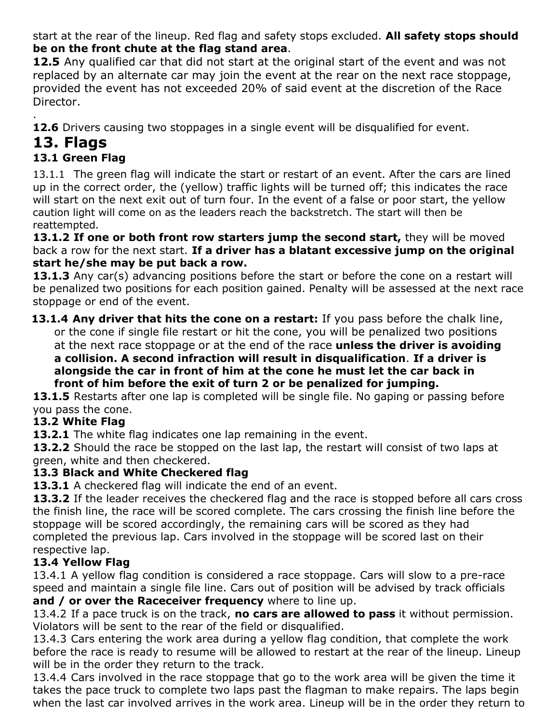start at the rear of the lineup. Red flag and safety stops excluded. **All safety stops should be on the front chute at the flag stand area**.

**12.5** Any qualified car that did not start at the original start of the event and was not replaced by an alternate car may join the event at the rear on the next race stoppage, provided the event has not exceeded 20% of said event at the discretion of the Race Director.

. **12.6** Drivers causing two stoppages in a single event will be disqualified for event.

### **13. Flags**

### **13.1 Green Flag**

13.1.1 The green flag will indicate the start or restart of an event. After the cars are lined up in the correct order, the (yellow) traffic lights will be turned off; this indicates the race will start on the next exit out of turn four. In the event of a false or poor start, the yellow caution light will come on as the leaders reach the backstretch. The start will then be reattempted.

**13.1.2 If one or both front row starters jump the second start,** they will be moved back a row for the next start. **If a driver has a blatant excessive jump on the original start he/she may be put back a row.**

**13.1.3** Any car(s) advancing positions before the start or before the cone on a restart will be penalized two positions for each position gained. Penalty will be assessed at the next race stoppage or end of the event.

**13.1.4 Any driver that hits the cone on a restart:** If you pass before the chalk line, or the cone if single file restart or hit the cone, you will be penalized two positions at the next race stoppage or at the end of the race **unless the driver is avoiding a collision. A second infraction will result in disqualification**. **If a driver is alongside the car in front of him at the cone he must let the car back in front of him before the exit of turn 2 or be penalized for jumping.**

13.1.5 Restarts after one lap is completed will be single file. No gaping or passing before you pass the cone.

### **13.2 White Flag**

**13.2.1** The white flag indicates one lap remaining in the event.

**13.2.2** Should the race be stopped on the last lap, the restart will consist of two laps at green, white and then checkered.

### **13.3 Black and White Checkered flag**

**13.3.1** A checkered flag will indicate the end of an event.

**13.3.2** If the leader receives the checkered flag and the race is stopped before all cars cross the finish line, the race will be scored complete. The cars crossing the finish line before the stoppage will be scored accordingly, the remaining cars will be scored as they had completed the previous lap. Cars involved in the stoppage will be scored last on their respective lap.

### **13.4 Yellow Flag**

13.4.1 A yellow flag condition is considered a race stoppage. Cars will slow to a pre-race speed and maintain a single file line. Cars out of position will be advised by track officials **and / or over the Raceceiver frequency** where to line up.

13.4.2 If a pace truck is on the track, **no cars are allowed to pass** it without permission. Violators will be sent to the rear of the field or disqualified.

13.4.3 Cars entering the work area during a yellow flag condition, that complete the work before the race is ready to resume will be allowed to restart at the rear of the lineup. Lineup will be in the order they return to the track.

13.4.4 Cars involved in the race stoppage that go to the work area will be given the time it takes the pace truck to complete two laps past the flagman to make repairs. The laps begin when the last car involved arrives in the work area. Lineup will be in the order they return to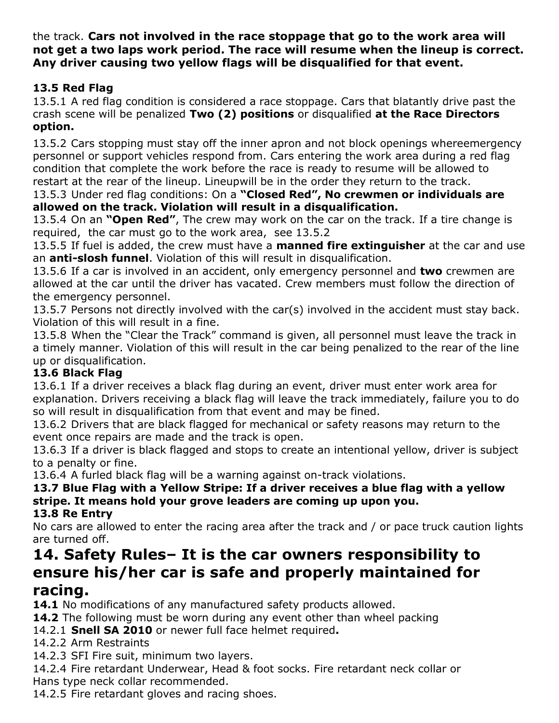the track. **Cars not involved in the race stoppage that go to the work area will not get a two laps work period. The race will resume when the lineup is correct. Any driver causing two yellow flags will be disqualified for that event.**

### **13.5 Red Flag**

13.5.1 A red flag condition is considered a race stoppage. Cars that blatantly drive past the crash scene will be penalized **Two (2) positions** or disqualified **at the Race Directors option.**

13.5.2 Cars stopping must stay off the inner apron and not block openings whereemergency personnel or support vehicles respond from. Cars entering the work area during a red flag condition that complete the work before the race is ready to resume will be allowed to restart at the rear of the lineup. Lineupwill be in the order they return to the track.

13.5.3 Under red flag conditions: On a **"Closed Red", No crewmen or individuals are allowed on the track. Violation will result in a disqualification.**

13.5.4 On an **"Open Red"**, The crew may work on the car on the track. If a tire change is required, the car must go to the work area, see 13.5.2

13.5.5 If fuel is added, the crew must have a **manned fire extinguisher** at the car and use an **anti-slosh funnel**. Violation of this will result in disqualification.

13.5.6 If a car is involved in an accident, only emergency personnel and **two** crewmen are allowed at the car until the driver has vacated. Crew members must follow the direction of the emergency personnel.

13.5.7 Persons not directly involved with the car(s) involved in the accident must stay back. Violation of this will result in a fine.

13.5.8 When the "Clear the Track" command is given, all personnel must leave the track in a timely manner. Violation of this will result in the car being penalized to the rear of the line up or disqualification.

### **13.6 Black Flag**

13.6.1 If a driver receives a black flag during an event, driver must enter work area for explanation. Drivers receiving a black flag will leave the track immediately, failure you to do so will result in disqualification from that event and may be fined.

13.6.2 Drivers that are black flagged for mechanical or safety reasons may return to the event once repairs are made and the track is open.

13.6.3 If a driver is black flagged and stops to create an intentional yellow, driver is subject to a penalty or fine.

13.6.4 A furled black flag will be a warning against on-track violations.

#### **13.7 Blue Flag with a Yellow Stripe: If a driver receives a blue flag with a yellow stripe. It means hold your grove leaders are coming up upon you. 13.8 Re Entry**

No cars are allowed to enter the racing area after the track and / or pace truck caution lights are turned off.

# **14. Safety Rules– It is the car owners responsibility to ensure his/her car is safe and properly maintained for**

### **racing.**

**14.1** No modifications of any manufactured safety products allowed.

**14.2** The following must be worn during any event other than wheel packing

14.2.1 **Snell SA 2010** or newer full face helmet required**.**

14.2.2 Arm Restraints

14.2.3 SFI Fire suit, minimum two layers.

14.2.4 Fire retardant Underwear, Head & foot socks. Fire retardant neck collar or Hans type neck collar recommended.

14.2.5 Fire retardant gloves and racing shoes.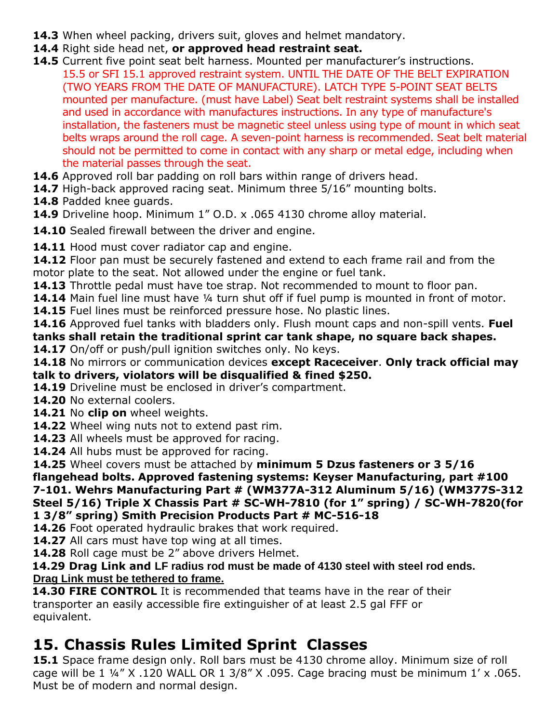- **14.3** When wheel packing, drivers suit, gloves and helmet mandatory.
- **14.4** Right side head net, **or approved head restraint seat.**
- **14.5** Current five point seat belt harness. Mounted per manufacturer's instructions. 15.5 or SFI 15.1 approved restraint system. UNTIL THE DATE OF THE BELT EXPIRATION (TWO YEARS FROM THE DATE OF MANUFACTURE). LATCH TYPE 5-POINT SEAT BELTS mounted per manufacture. (must have Label) Seat belt restraint systems shall be installed and used in accordance with manufactures instructions. In any type of manufacture's installation, the fasteners must be magnetic steel unless using type of mount in which seat belts wraps around the roll cage. A seven-point harness is recommended. Seat belt material should not be permitted to come in contact with any sharp or metal edge, including when the material passes through the seat.
- **14.6** Approved roll bar padding on roll bars within range of drivers head.
- **14.7** High-back approved racing seat. Minimum three 5/16" mounting bolts.
- **14.8** Padded knee guards.
- **14.9** Driveline hoop. Minimum 1" O.D. x .065 4130 chrome alloy material.
- 14.10 Sealed firewall between the driver and engine.
- **14.11** Hood must cover radiator cap and engine.
- **14.12** Floor pan must be securely fastened and extend to each frame rail and from the motor plate to the seat. Not allowed under the engine or fuel tank.
- **14.13** Throttle pedal must have toe strap. Not recommended to mount to floor pan.
- **14.14** Main fuel line must have ¼ turn shut off if fuel pump is mounted in front of motor.
- **14.15** Fuel lines must be reinforced pressure hose. No plastic lines.
- **14.16** Approved fuel tanks with bladders only. Flush mount caps and non-spill vents. **Fuel tanks shall retain the traditional sprint car tank shape, no square back shapes.**
- **14.17** On/off or push/pull ignition switches only. No keys.
- **14.18** No mirrors or communication devices **except Raceceiver**. **Only track official may talk to drivers, violators will be disqualified & fined \$250.**
- **14.19** Driveline must be enclosed in driver's compartment.
- **14.20** No external coolers.
- **14.21** No **clip on** wheel weights.
- **14.22** Wheel wing nuts not to extend past rim.
- **14.23** All wheels must be approved for racing.
- **14.24** All hubs must be approved for racing.
- **14.25** Wheel covers must be attached by **minimum 5 Dzus fasteners or 3 5/16**
- **flangehead bolts. Approved fastening systems: Keyser Manufacturing, part #100 7-101. Wehrs Manufacturing Part # (WM377A-312 Aluminum 5/16) (WM377S-312 Steel 5/16) Triple X Chassis Part # SC-WH-7810 (for 1" spring) / SC-WH-7820(for 1 3/8" spring) Smith Precision Products Part # MC-516-18**
- **14.26** Foot operated hydraulic brakes that work required.
- **14.27** All cars must have top wing at all times.
- **14.28** Roll cage must be 2" above drivers Helmet.

#### **14.29 Drag Link and LF radius rod must be made of 4130 steel with steel rod ends. Drag Link must be tethered to frame.**

**14.30 FIRE CONTROL** It is recommended that teams have in the rear of their transporter an easily accessible fire extinguisher of at least 2.5 gal FFF or equivalent.

### **15. Chassis Rules Limited Sprint Classes**

**15.1** Space frame design only. Roll bars must be 4130 chrome alloy. Minimum size of roll cage will be 1 ¼" X .120 WALL OR 1 3/8" X .095. Cage bracing must be minimum 1' x .065. Must be of modern and normal design.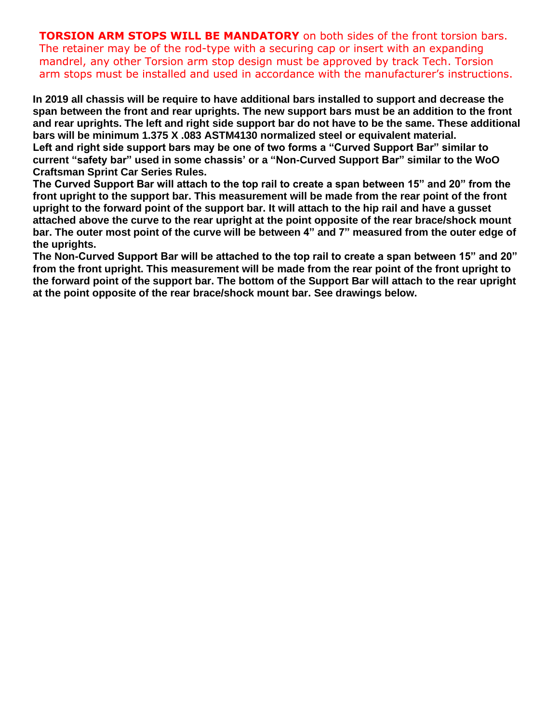**TORSION ARM STOPS WILL BE MANDATORY** on both sides of the front torsion bars. The retainer may be of the rod-type with a securing cap or insert with an expanding mandrel, any other Torsion arm stop design must be approved by track Tech. Torsion arm stops must be installed and used in accordance with the manufacturer's instructions.

**In 2019 all chassis will be require to have additional bars installed to support and decrease the span between the front and rear uprights. The new support bars must be an addition to the front** and rear uprights. The left and right side support bar do not have to be the same. These additional **bars will be minimum 1.375 X .083 ASTM4130 normalized steel or equivalent material. Left and right side support bars may be one of two forms a "Curved Support Bar" similar to current "safety bar" used in some chassis' or a "Non-Curved Support Bar" similar to the WoO Craftsman Sprint Car Series Rules.**

**The Curved Support Bar will attach to the top rail to create a span between 15" and 20" from the front upright to the support bar. This measurement will be made from the rear point of the front upright to the forward point of the support bar. It will attach to the hip rail and have a gusset attached above the curve to the rear upright at the point opposite of the rear brace/shock mount** bar. The outer most point of the curve will be between 4" and 7" measured from the outer edge of **the uprights.**

**The Non-Curved Support Bar will be attached to the top rail to create a span between 15" and 20" from the front upright. This measurement will be made from the rear point of the front upright to the forward point of the support bar. The bottom of the Support Bar will attach to the rear upright at the point opposite of the rear brace/shock mount bar. See drawings below.**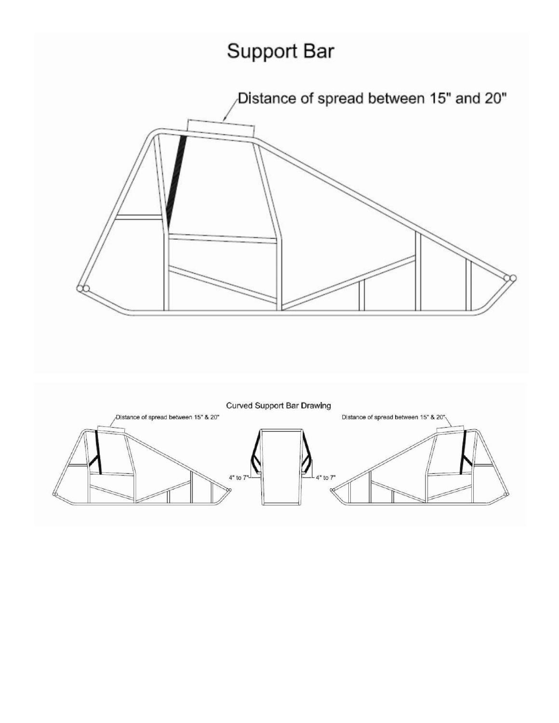# Support Bar



**Curved Support Bar Drawing** Distance of spread between 15" & 20" D|stance of spread between 15" & 20"  $4"$  to  $7"$ to 7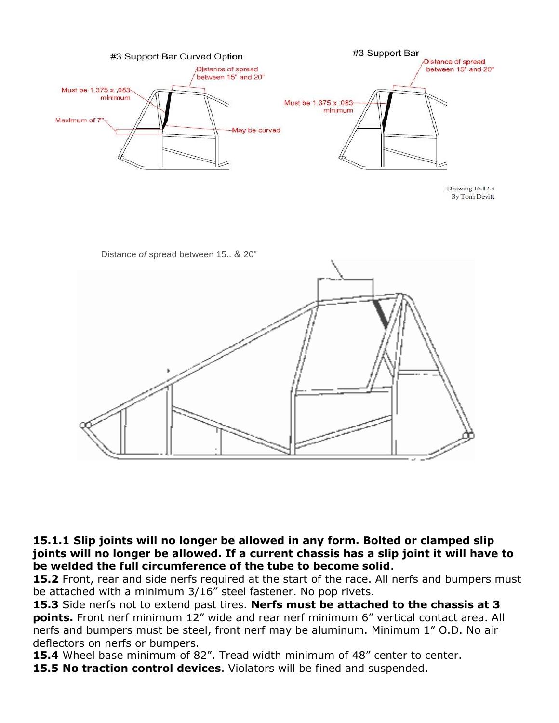

Drawing 16.12.3 **By Tom Devitt** 



**15.1.1 Slip joints will no longer be allowed in any form. Bolted or clamped slip joints will no longer be allowed. If a current chassis has a slip joint it will have to be welded the full circumference of the tube to become solid**.

**15.2** Front, rear and side nerfs required at the start of the race. All nerfs and bumpers must be attached with a minimum 3/16" steel fastener. No pop rivets.

**15.3** Side nerfs not to extend past tires. **Nerfs must be attached to the chassis at 3 points.** Front nerf minimum 12" wide and rear nerf minimum 6" vertical contact area. All nerfs and bumpers must be steel, front nerf may be aluminum. Minimum 1" O.D. No air deflectors on nerfs or bumpers.

**15.4** Wheel base minimum of 82". Tread width minimum of 48" center to center.

**15.5 No traction control devices**. Violators will be fined and suspended.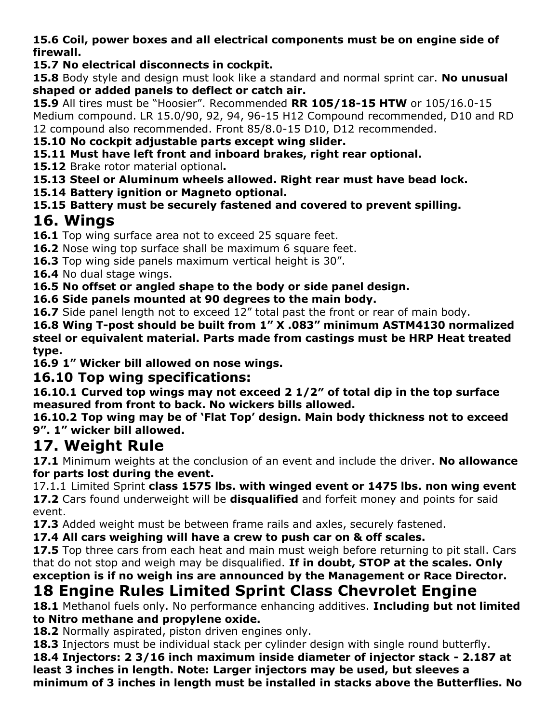**15.6 Coil, power boxes and all electrical components must be on engine side of firewall.**

### **15.7 No electrical disconnects in cockpit.**

**15.8** Body style and design must look like a standard and normal sprint car. **No unusual shaped or added panels to deflect or catch air.**

**15.9** All tires must be "Hoosier". Recommended **RR 105/18-15 HTW** or 105/16.0-15 Medium compound. LR 15.0/90, 92, 94, 96-15 H12 Compound recommended, D10 and RD 12 compound also recommended. Front 85/8.0-15 D10, D12 recommended.

**15.10 No cockpit adjustable parts except wing slider.**

**15.11 Must have left front and inboard brakes, right rear optional.**

**15.12** Brake rotor material optional**.**

**15.13 Steel or Aluminum wheels allowed. Right rear must have bead lock.**

**15.14 Battery ignition or Magneto optional.**

**15.15 Battery must be securely fastened and covered to prevent spilling.**

### **16. Wings**

**16.1** Top wing surface area not to exceed 25 square feet.

**16.2** Nose wing top surface shall be maximum 6 square feet.

**16.3** Top wing side panels maximum vertical height is 30".

**16.4** No dual stage wings.

**16.5 No offset or angled shape to the body or side panel design.**

**16.6 Side panels mounted at 90 degrees to the main body.**

16.7 Side panel length not to exceed 12" total past the front or rear of main body.

**16.8 Wing T-post should be built from 1" X .083" minimum ASTM4130 normalized steel or equivalent material. Parts made from castings must be HRP Heat treated type.**

**16.9 1" Wicker bill allowed on nose wings.**

### **16.10 Top wing specifications:**

**16.10.1 Curved top wings may not exceed 2 1/2″ of total dip in the top surface measured from front to back. No wickers bills allowed.**

**16.10.2 Top wing may be of 'Flat Top' design. Main body thickness not to exceed 9". 1" wicker bill allowed.**

### **17. Weight Rule**

**17.1** Minimum weights at the conclusion of an event and include the driver. **No allowance for parts lost during the event.**

17.1.1 Limited Sprint **class 1575 lbs. with winged event or 1475 lbs. non wing event 17.2** Cars found underweight will be **disqualified** and forfeit money and points for said event.

**17.3** Added weight must be between frame rails and axles, securely fastened.

**17.4 All cars weighing will have a crew to push car on & off scales.**

17.5 Top three cars from each heat and main must weigh before returning to pit stall. Cars that do not stop and weigh may be disqualified. **If in doubt, STOP at the scales. Only exception is if no weigh ins are announced by the Management or Race Director.**

## **18 Engine Rules Limited Sprint Class Chevrolet Engine**

**18.1** Methanol fuels only. No performance enhancing additives. **Including but not limited to Nitro methane and propylene oxide.**

**18.2** Normally aspirated, piston driven engines only.

**18.3** Injectors must be individual stack per cylinder design with single round butterfly.

**18.4 Injectors: 2 3/16 inch maximum inside diameter of injector stack - 2.187 at least 3 inches in length. Note: Larger injectors may be used, but sleeves a minimum of 3 inches in length must be installed in stacks above the Butterflies. No**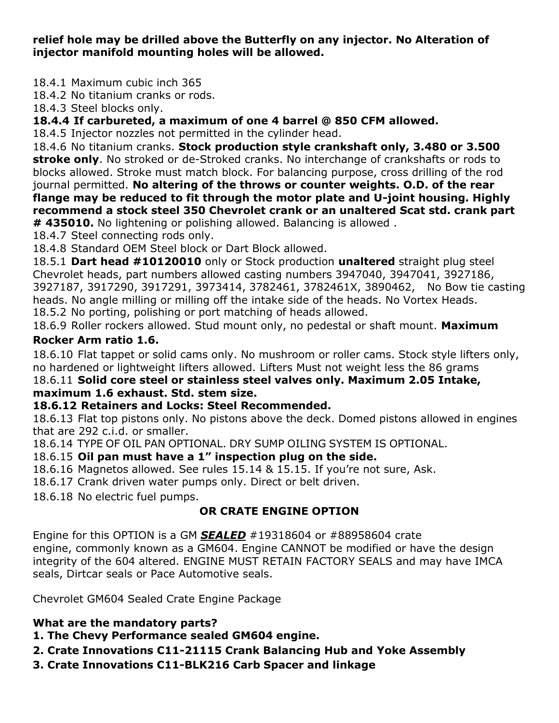**relief hole may be drilled above the Butterfly on any injector. No Alteration of injector manifold mounting holes will be allowed.**

18.4.1 Maximum cubic inch 365

18.4.2 No titanium cranks or rods.

18.4.3 Steel blocks only.

**18.4.4 If carbureted, a maximum of one 4 barrel @ 850 CFM allowed.**

18.4.5 Injector nozzles not permitted in the cylinder head.

18.4.6 No titanium cranks. **Stock production style crankshaft only, 3.480 or 3.500 stroke only**. No stroked or de-Stroked cranks. No interchange of crankshafts or rods to blocks allowed. Stroke must match block. For balancing purpose, cross drilling of the rod journal permitted. **No altering of the throws or counter weights. O.D. of the rear flange may be reduced to fit through the motor plate and U-joint housing. Highly recommend a stock steel 350 Chevrolet crank or an unaltered Scat std. crank part**

**# 435010.** No lightening or polishing allowed. Balancing is allowed .

18.4.7 Steel connecting rods only.

18.4.8 Standard OEM Steel block or Dart Block allowed.

18.5.1 **Dart head #10120010** only or Stock production **unaltered** straight plug steel Chevrolet heads, part numbers allowed casting numbers 3947040, 3947041, 3927186, 3927187, 3917290, 3917291, 3973414, 3782461, 3782461X, 3890462, No Bow tie casting heads. No angle milling or milling off the intake side of the heads. No Vortex Heads. 18.5.2 No porting, polishing or port matching of heads allowed.

18.6.9 Roller rockers allowed. Stud mount only, no pedestal or shaft mount. **Maximum**

#### **Rocker Arm ratio 1.6.**

18.6.10 Flat tappet or solid cams only. No mushroom or roller cams. Stock style lifters only, no hardened or lightweight lifters allowed. Lifters Must not weight less the 86 grams

#### 18.6.11 **Solid core steel or stainless steel valves only. Maximum 2.05 Intake, maximum 1.6 exhaust. Std. stem size.**

#### **18.6.12 Retainers and Locks: Steel Recommended.**

18.6.13 Flat top pistons only. No pistons above the deck. Domed pistons allowed in engines that are 292 c.i.d. or smaller.

18.6.14 TYPE OF OIL PAN OPTIONAL. DRY SUMP OILING SYSTEM IS OPTIONAL.

### 18.6.15 **Oil pan must have a 1" inspection plug on the side.**

18.6.16 Magnetos allowed. See rules 15.14 & 15.15. If you're not sure, Ask.

18.6.17 Crank driven water pumps only. Direct or belt driven.

18.6.18 No electric fuel pumps.

### **OR CRATE ENGINE OPTION**

Engine for this OPTION is a GM *SEALED* #19318604 or #88958604 crate engine, commonly known as a GM604. Engine CANNOT be modified or have the design integrity of the 604 altered. ENGINE MUST RETAIN FACTORY SEALS and may have IMCA seals, Dirtcar seals or Pace Automotive seals.

Chevrolet GM604 Sealed Crate Engine Package

#### **What are the mandatory parts?**

**1. The Chevy Performance sealed GM604 engine.**

**2. Crate Innovations C11-21115 Crank Balancing Hub and Yoke Assembly**

**3. Crate Innovations C11-BLK216 Carb Spacer and linkage**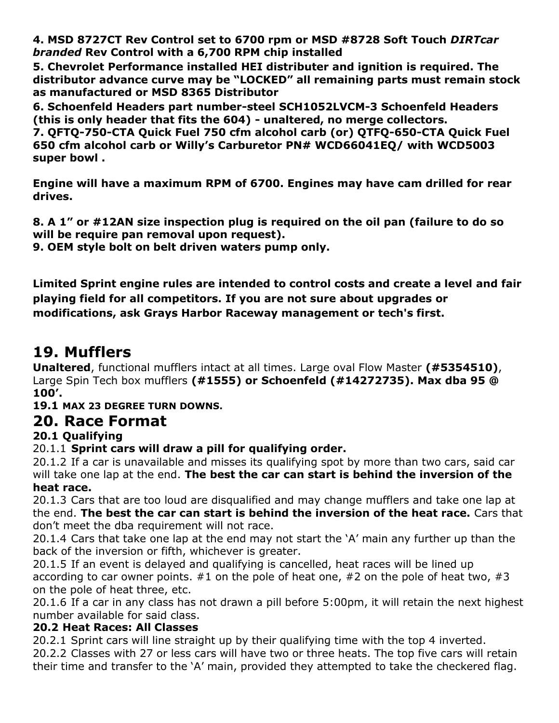**4. MSD 8727CT Rev Control set to 6700 rpm or MSD #8728 Soft Touch** *DIRTcar branded* **Rev Control with a 6,700 RPM chip installed**

**5. Chevrolet Performance installed HEI distributer and ignition is required. The distributor advance curve may be "LOCKED" all remaining parts must remain stock as manufactured or MSD 8365 Distributor**

**6. Schoenfeld Headers part number-steel SCH1052LVCM-3 Schoenfeld Headers (this is only header that fits the 604) - unaltered, no merge collectors.**

**7. QFTQ-750-CTA Quick Fuel 750 cfm alcohol carb (or) QTFQ-650-CTA Quick Fuel 650 cfm alcohol carb or Willy's Carburetor PN# WCD66041EQ/ with WCD5003 super bowl .**

**Engine will have a maximum RPM of 6700. Engines may have cam drilled for rear drives.**

**8. A 1" or #12AN size inspection plug is required on the oil pan (failure to do so will be require pan removal upon request).**

**9. OEM style bolt on belt driven waters pump only.**

**Limited Sprint engine rules are intended to control costs and create a level and fair playing field for all competitors. If you are not sure about upgrades or modifications, ask Grays Harbor Raceway management or tech's first.**

### **19. Mufflers**

**Unaltered**, functional mufflers intact at all times. Large oval Flow Master **(#5354510)**, Large Spin Tech box mufflers **(#1555) or Schoenfeld (#14272735). Max dba 95 @ 100'.**

### **19.1 MAX 23 DEGREE TURN DOWNS.**

### **20. Race Format**

### **20.1 Qualifying**

20.1.1 **Sprint cars will draw a pill for qualifying order.**

20.1.2 If a car is unavailable and misses its qualifying spot by more than two cars, said car will take one lap at the end. **The best the car can start is behind the inversion of the heat race.**

20.1.3 Cars that are too loud are disqualified and may change mufflers and take one lap at the end. **The best the car can start is behind the inversion of the heat race.** Cars that don't meet the dba requirement will not race.

20.1.4 Cars that take one lap at the end may not start the 'A' main any further up than the back of the inversion or fifth, whichever is greater.

20.1.5 If an event is delayed and qualifying is cancelled, heat races will be lined up according to car owner points.  $#1$  on the pole of heat one,  $#2$  on the pole of heat two,  $#3$ on the pole of heat three, etc.

20.1.6 If a car in any class has not drawn a pill before 5:00pm, it will retain the next highest number available for said class.

#### **20.2 Heat Races: All Classes**

20.2.1 Sprint cars will line straight up by their qualifying time with the top 4 inverted.

20.2.2 Classes with 27 or less cars will have two or three heats. The top five cars will retain their time and transfer to the 'A' main, provided they attempted to take the checkered flag.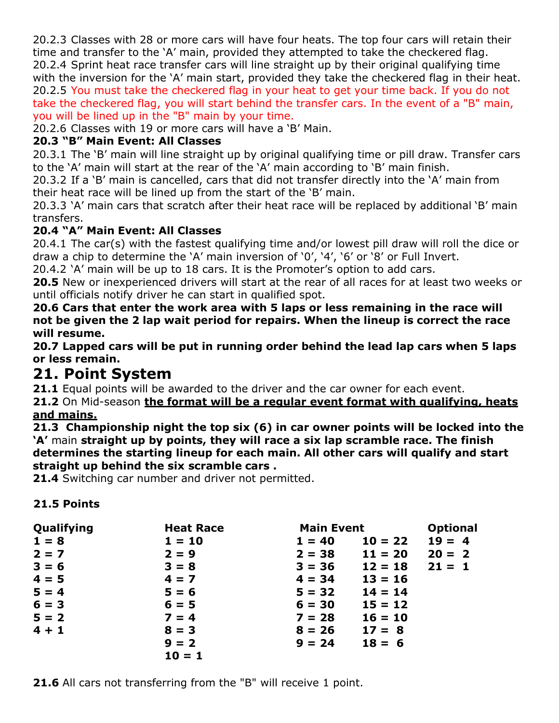20.2.3 Classes with 28 or more cars will have four heats. The top four cars will retain their time and transfer to the 'A' main, provided they attempted to take the checkered flag. 20.2.4 Sprint heat race transfer cars will line straight up by their original qualifying time with the inversion for the 'A' main start, provided they take the checkered flag in their heat. 20.2.5 You must take the checkered flag in your heat to get your time back. If you do not take the checkered flag, you will start behind the transfer cars. In the event of a "B" main, you will be lined up in the "B" main by your time.

20.2.6 Classes with 19 or more cars will have a 'B' Main.

#### **20.3 "B" Main Event: All Classes**

20.3.1 The 'B' main will line straight up by original qualifying time or pill draw. Transfer cars to the 'A' main will start at the rear of the 'A' main according to 'B' main finish.

20.3.2 If a 'B' main is cancelled, cars that did not transfer directly into the 'A' main from their heat race will be lined up from the start of the 'B' main.

20.3.3 'A' main cars that scratch after their heat race will be replaced by additional 'B' main transfers.

#### **20.4 "A" Main Event: All Classes**

20.4.1 The car(s) with the fastest qualifying time and/or lowest pill draw will roll the dice or draw a chip to determine the 'A' main inversion of '0', '4', '6' or '8' or Full Invert.

20.4.2 'A' main will be up to 18 cars. It is the Promoter's option to add cars.

**20.5** New or inexperienced drivers will start at the rear of all races for at least two weeks or until officials notify driver he can start in qualified spot.

**20.6 Cars that enter the work area with 5 laps or less remaining in the race will not be given the 2 lap wait period for repairs. When the lineup is correct the race will resume.**

**20.7 Lapped cars will be put in running order behind the lead lap cars when 5 laps or less remain.**

### **21. Point System**

**21.1** Equal points will be awarded to the driver and the car owner for each event.

#### **21.2** On Mid-season **the format will be a regular event format with qualifying, heats and mains.**

**21.3 Championship night the top six (6) in car owner points will be locked into the 'A'** main **straight up by points, they will race a six lap scramble race. The finish determines the starting lineup for each main. All other cars will qualify and start straight up behind the six scramble cars .**

**21.4** Switching car number and driver not permitted.

#### **21.5 Points**

| Qualifying | <b>Heat Race</b> | <b>Main Event</b> |           | <b>Optional</b> |
|------------|------------------|-------------------|-----------|-----------------|
| $1 = 8$    | $1 = 10$         | $1 = 40$          | $10 = 22$ | $19 = 4$        |
| $2 = 7$    | $2 = 9$          | $2 = 38$          | $11 = 20$ | $20 = 2$        |
| $3 = 6$    | $3 = 8$          | $3 = 36$          | $12 = 18$ | $21 = 1$        |
| $4 = 5$    | $4 = 7$          | $4 = 34$          | $13 = 16$ |                 |
| $5 = 4$    | $5 = 6$          | $5 = 32$          | $14 = 14$ |                 |
| $6 = 3$    | $6 = 5$          | $6 = 30$          | $15 = 12$ |                 |
| $5 = 2$    | $7 = 4$          | $7 = 28$          | $16 = 10$ |                 |
| $4 + 1$    | $8 = 3$          | $8 = 26$          | $17 = 8$  |                 |
|            | $9 = 2$          | $9 = 24$          | $18 = 6$  |                 |
|            | $10 = 1$         |                   |           |                 |

**21.6** All cars not transferring from the "B" will receive 1 point.